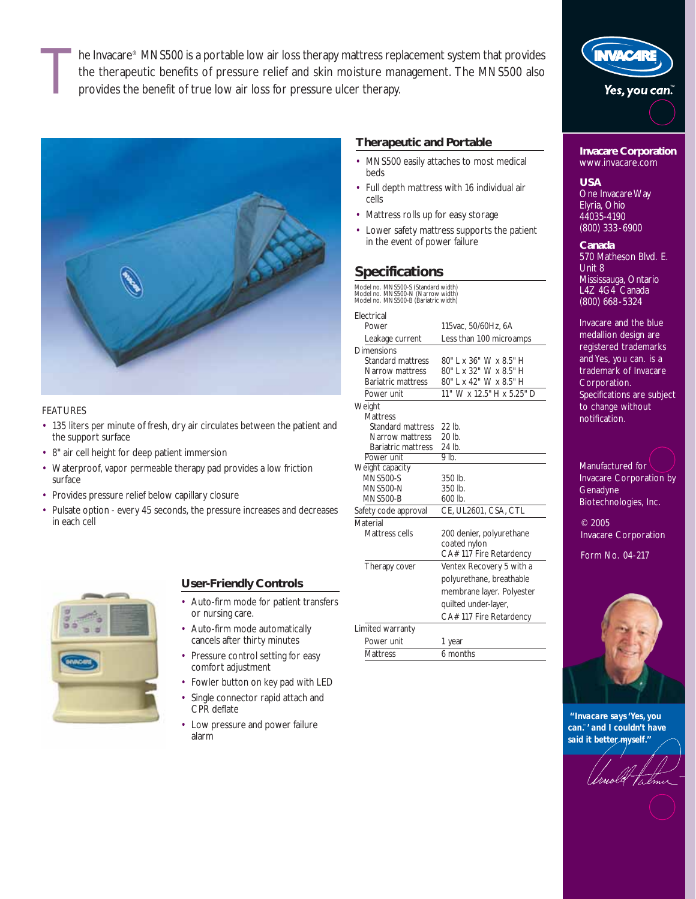he Invacare® MNS500 is a portable low air loss therapy mattress replacement system that provides the therapeutic benefits of pressure relief and skin moisture management. The MNS500 also provides the benefit of true low air loss for pressure ulcer therapy.



## FEATURES

- 135 liters per minute of fresh, dry air circulates between the patient and the support surface
- 8" air cell height for deep patient immersion
- Waterproof, vapor permeable therapy pad provides a low friction surface
- Provides pressure relief below capillary closure
- Pulsate option every 45 seconds, the pressure increases and decreases in each cell



## **User-Friendly Controls**

- Auto-firm mode for patient transfers or nursing care.
- Auto-firm mode automatically cancels after thirty minutes
- Pressure control setting for easy comfort adjustment
- Fowler button on key pad with LED
- Single connector rapid attach and CPR deflate
- Low pressure and power failure alarm

# **Therapeutic and Portable**

- MNS500 easily attaches to most medical beds
- Full depth mattress with 16 individual air cells
- Mattress rolls up for easy storage
- Lower safety mattress supports the patient in the event of power failure

# **Specifications**

Model no. MNS500-S (Standard width) Model no. MNS500-N (Narrow width) Model no. MNS500-B (Bariatric width)

#### Electrical Power 115vac, 50/60Hz, 6A Leakage current Less than 100 microamps Dimensions<br>Standard mattress Standard mattress 80" L x 36" W x 8.5" H<br>Narrow mattress 80" L x 32" W x 8.5" H Narrow mattress 80" L x 32" W x 8.5" H<br>Bariatric mattress 80" L x 42" W x 8.5" H 80" L x 42" W x 8.5" H Power unit 11" W x 12.5" H x 5.25" D **Weight Mattress** Standard mattress 22 lb.<br>Narrow mattress 20 lb. Narrow mattress 20 lb.<br>Bariatric mattress 24 lb. Bariatric mattress 24 lb.<br>Nower unit 9 lb. Power unit Weight capacity MNS500-S 350 lb.<br>MNS500-N 350 lb. MNS500-N 350 lb.<br>MNS500-B 600 lb. **MNS500-B** Safety code approval CE, UL2601, CSA, CTL Material<br>Mattress cells 200 denier, polyurethane coated nylon CA# 117 Fire Retardency Therapy cover Ventex Recovery 5 with a polyurethane, breathable



**Invacare Corporation**  www.invacare.com

**WACAR** 

Yes, you can."

### **USA**

One Invacare Way Elyria, Ohio 44035-4190 (800) 333-6900

**Canada** 570 Matheson Blvd. E. Unit 8 Mississauga, Ontario L4Z 4G4 Canada (800) 668-5324

Invacare and the blue medallion design are registered trademarks and Yes, you can. is a trademark of Invacare Corporation. Specifications are subject to change without notification.



Biotechnologies, Inc.

© 2005 Invacare Corporation

Form No. 04-217



*''Invacare says 'Yes, you can.*™*' and I couldn't have said it better myself.''*